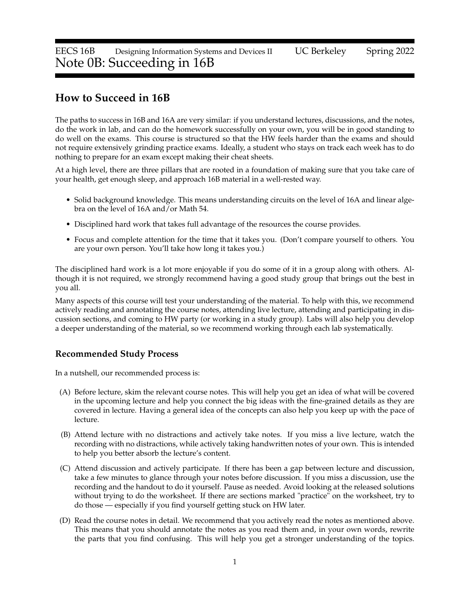# **How to Succeed in 16B**

The paths to success in 16B and 16A are very similar: if you understand lectures, discussions, and the notes, do the work in lab, and can do the homework successfully on your own, you will be in good standing to do well on the exams. This course is structured so that the HW feels harder than the exams and should not require extensively grinding practice exams. Ideally, a student who stays on track each week has to do nothing to prepare for an exam except making their cheat sheets.

At a high level, there are three pillars that are rooted in a foundation of making sure that you take care of your health, get enough sleep, and approach 16B material in a well-rested way.

- Solid background knowledge. This means understanding circuits on the level of 16A and linear algebra on the level of 16A and/or Math 54.
- Disciplined hard work that takes full advantage of the resources the course provides.
- Focus and complete attention for the time that it takes you. (Don't compare yourself to others. You are your own person. You'll take how long it takes you.)

The disciplined hard work is a lot more enjoyable if you do some of it in a group along with others. Although it is not required, we strongly recommend having a good study group that brings out the best in you all.

Many aspects of this course will test your understanding of the material. To help with this, we recommend actively reading and annotating the course notes, attending live lecture, attending and participating in discussion sections, and coming to HW party (or working in a study group). Labs will also help you develop a deeper understanding of the material, so we recommend working through each lab systematically.

## **Recommended Study Process**

In a nutshell, our recommended process is:

- (A) Before lecture, skim the relevant course notes. This will help you get an idea of what will be covered in the upcoming lecture and help you connect the big ideas with the fine-grained details as they are covered in lecture. Having a general idea of the concepts can also help you keep up with the pace of lecture.
- (B) Attend lecture with no distractions and actively take notes. If you miss a live lecture, watch the recording with no distractions, while actively taking handwritten notes of your own. This is intended to help you better absorb the lecture's content.
- (C) Attend discussion and actively participate. If there has been a gap between lecture and discussion, take a few minutes to glance through your notes before discussion. If you miss a discussion, use the recording and the handout to do it yourself. Pause as needed. Avoid looking at the released solutions without trying to do the worksheet. If there are sections marked "practice" on the worksheet, try to do those — especially if you find yourself getting stuck on HW later.
- (D) Read the course notes in detail. We recommend that you actively read the notes as mentioned above. This means that you should annotate the notes as you read them and, in your own words, rewrite the parts that you find confusing. This will help you get a stronger understanding of the topics.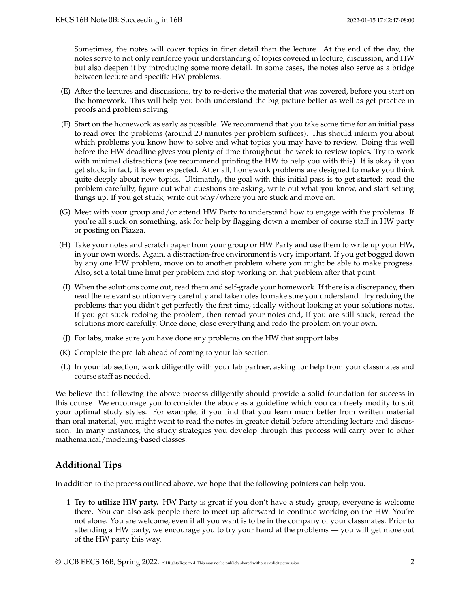Sometimes, the notes will cover topics in finer detail than the lecture. At the end of the day, the notes serve to not only reinforce your understanding of topics covered in lecture, discussion, and HW but also deepen it by introducing some more detail. In some cases, the notes also serve as a bridge between lecture and specific HW problems.

- (E) After the lectures and discussions, try to re-derive the material that was covered, before you start on the homework. This will help you both understand the big picture better as well as get practice in proofs and problem solving.
- (F) Start on the homework as early as possible. We recommend that you take some time for an initial pass to read over the problems (around 20 minutes per problem suffices). This should inform you about which problems you know how to solve and what topics you may have to review. Doing this well before the HW deadline gives you plenty of time throughout the week to review topics. Try to work with minimal distractions (we recommend printing the HW to help you with this). It is okay if you get stuck; in fact, it is even expected. After all, homework problems are designed to make you think quite deeply about new topics. Ultimately, the goal with this initial pass is to get started: read the problem carefully, figure out what questions are asking, write out what you know, and start setting things up. If you get stuck, write out why/where you are stuck and move on.
- (G) Meet with your group and/or attend HW Party to understand how to engage with the problems. If you're all stuck on something, ask for help by flagging down a member of course staff in HW party or posting on Piazza.
- (H) Take your notes and scratch paper from your group or HW Party and use them to write up your HW, in your own words. Again, a distraction-free environment is very important. If you get bogged down by any one HW problem, move on to another problem where you might be able to make progress. Also, set a total time limit per problem and stop working on that problem after that point.
- (I) When the solutions come out, read them and self-grade your homework. If there is a discrepancy, then read the relevant solution very carefully and take notes to make sure you understand. Try redoing the problems that you didn't get perfectly the first time, ideally without looking at your solutions notes. If you get stuck redoing the problem, then reread your notes and, if you are still stuck, reread the solutions more carefully. Once done, close everything and redo the problem on your own.
- (J) For labs, make sure you have done any problems on the HW that support labs.
- (K) Complete the pre-lab ahead of coming to your lab section.
- (L) In your lab section, work diligently with your lab partner, asking for help from your classmates and course staff as needed.

We believe that following the above process diligently should provide a solid foundation for success in this course. We encourage you to consider the above as a guideline which you can freely modify to suit your optimal study styles. For example, if you find that you learn much better from written material than oral material, you might want to read the notes in greater detail before attending lecture and discussion. In many instances, the study strategies you develop through this process will carry over to other mathematical/modeling-based classes.

## **Additional Tips**

In addition to the process outlined above, we hope that the following pointers can help you.

1 **Try to utilize HW party.** HW Party is great if you don't have a study group, everyone is welcome there. You can also ask people there to meet up afterward to continue working on the HW. You're not alone. You are welcome, even if all you want is to be in the company of your classmates. Prior to attending a HW party, we encourage you to try your hand at the problems — you will get more out of the HW party this way.